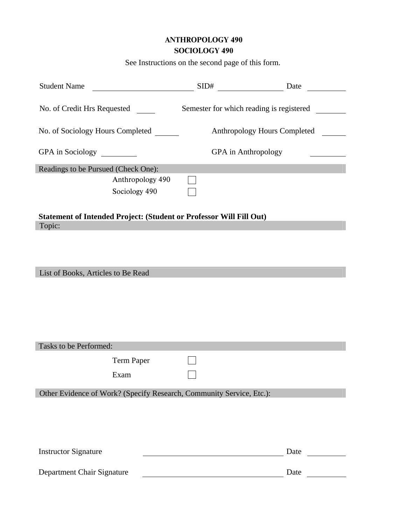## ANTHROPOLOGY 490 SOCIOLOGY 490

See Instructions on the second page of this form.

| <b>Student Name</b>                                                  |                                          | Date                |  |
|----------------------------------------------------------------------|------------------------------------------|---------------------|--|
| No. of Credit Hrs Requested                                          | Semester for which reading is registered |                     |  |
| No. of Sociology Hours Completed                                     | Anthropology Hours Completed             |                     |  |
| GPA in Sociology                                                     |                                          | GPA in Anthropology |  |
| Readings to be Pursued (Check One):                                  |                                          |                     |  |
| Anthropology 490                                                     |                                          |                     |  |
| Sociology 490                                                        |                                          |                     |  |
| Statement of Intended Project: (Student or Professor Will Fill Out)  |                                          |                     |  |
| Topic:                                                               |                                          |                     |  |
|                                                                      |                                          |                     |  |
|                                                                      |                                          |                     |  |
|                                                                      |                                          |                     |  |
| List of Books, Articles to Be Read                                   |                                          |                     |  |
|                                                                      |                                          |                     |  |
|                                                                      |                                          |                     |  |
|                                                                      |                                          |                     |  |
|                                                                      |                                          |                     |  |
|                                                                      |                                          |                     |  |
| Tasks to be Performed:                                               |                                          |                     |  |
| <b>Term Paper</b>                                                    |                                          |                     |  |
|                                                                      |                                          |                     |  |
| Exam                                                                 |                                          |                     |  |
| Other Evidence of Work? (Specify Research, Community Service, Etc.): |                                          |                     |  |
|                                                                      |                                          |                     |  |
|                                                                      |                                          |                     |  |
|                                                                      |                                          |                     |  |
|                                                                      |                                          |                     |  |
| <b>Instructor Signature</b>                                          |                                          | Date                |  |
|                                                                      |                                          |                     |  |
| Department Chair Signature                                           |                                          | Date                |  |